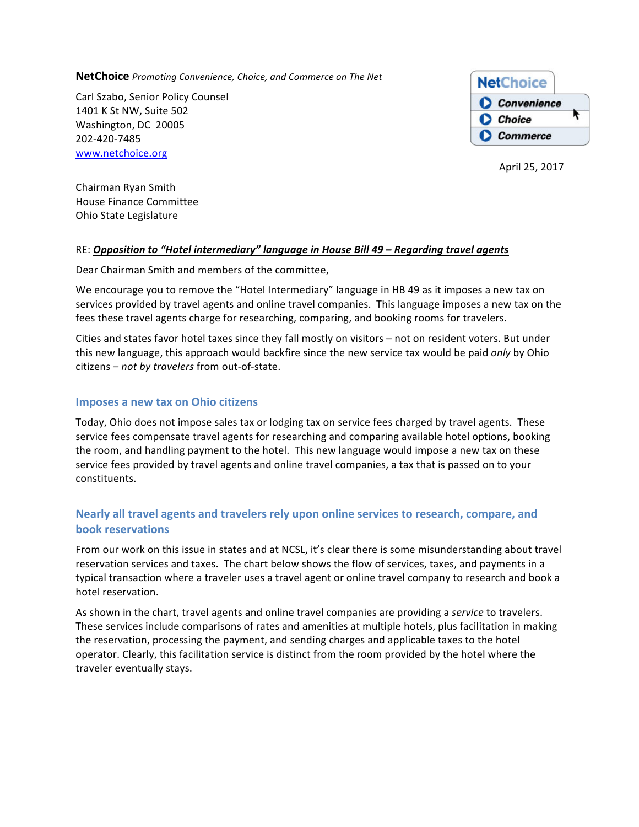**NetChoice** *Promoting Convenience, Choice, and Commerce on The Net* 

Carl Szabo, Senior Policy Counsel 1401 K St NW, Suite 502 Washington, DC 20005 202-420-7485 www.netchoice.org



April 25, 2017

Chairman Ryan Smith House Finance Committee Ohio State Legislature

### RE: *Opposition to "Hotel intermediary" language in House Bill 49 - Regarding travel agents*

Dear Chairman Smith and members of the committee,

We encourage you to remove the "Hotel Intermediary" language in HB 49 as it imposes a new tax on services provided by travel agents and online travel companies. This language imposes a new tax on the fees these travel agents charge for researching, comparing, and booking rooms for travelers.

Cities and states favor hotel taxes since they fall mostly on visitors - not on resident voters. But under this new language, this approach would backfire since the new service tax would be paid *only* by Ohio citizens - *not by travelers* from out-of-state.

### **Imposes a new tax on Ohio citizens**

Today, Ohio does not impose sales tax or lodging tax on service fees charged by travel agents. These service fees compensate travel agents for researching and comparing available hotel options, booking the room, and handling payment to the hotel. This new language would impose a new tax on these service fees provided by travel agents and online travel companies, a tax that is passed on to your constituents. 

# Nearly all travel agents and travelers rely upon online services to research, compare, and **book reservations**

From our work on this issue in states and at NCSL, it's clear there is some misunderstanding about travel reservation services and taxes. The chart below shows the flow of services, taxes, and payments in a typical transaction where a traveler uses a travel agent or online travel company to research and book a hotel reservation.

As shown in the chart, travel agents and online travel companies are providing a *service* to travelers. These services include comparisons of rates and amenities at multiple hotels, plus facilitation in making the reservation, processing the payment, and sending charges and applicable taxes to the hotel operator. Clearly, this facilitation service is distinct from the room provided by the hotel where the traveler eventually stays.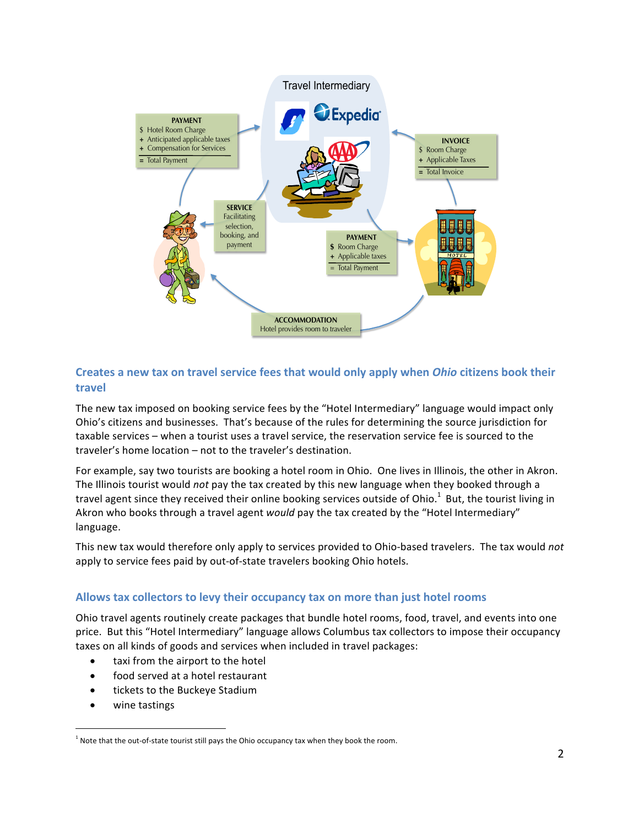

#### **Creates a new tax on travel service fees that would only apply when** *Ohio* **citizens book their travel** The accommodation service rees MTC proposal: The apply when only citizens

The new tax imposed on booking service fees by the "Hotel Intermediary" language would impact only Ohio's citizens and businesses. That's because of the rules for determining the source jurisdiction for taxable services – when a tourist uses a travel service, the reservation service fee is sourced to the traveler's home location  $-$  not to the traveler's destination.

For example, say two tourists are booking a hotel room in Ohio. One lives in Illinois, the other in Akron. The Illinois tourist would *not* pay the tax created by this new language when they booked through a travel agent since they received their online booking services outside of Ohio. $^1$  But, the tourist living in Akron who books through a travel agent *would* pay the tax created by the "Hotel Intermediary" language.

This new tax would therefore only apply to services provided to Ohio-based travelers. The tax would not apply to service fees paid by out-of-state travelers booking Ohio hotels.

# Allows tax collectors to levy their occupancy tax on more than just hotel rooms

Ohio travel agents routinely create packages that bundle hotel rooms, food, travel, and events into one price. But this "Hotel Intermediary" language allows Columbus tax collectors to impose their occupancy taxes on all kinds of goods and services when included in travel packages:

- taxi from the airport to the hotel
- food served at a hotel restaurant
- tickets to the Buckeye Stadium
- wine tastings

1

 $1$  Note that the out-of-state tourist still pays the Ohio occupancy tax when they book the room.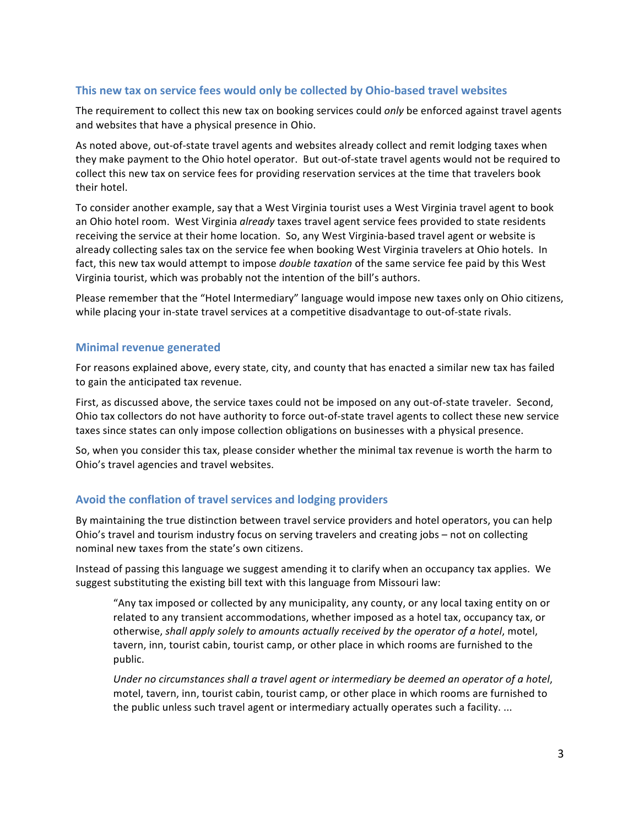# **This new tax on service fees would only be collected by Ohio-based travel websites**

The requirement to collect this new tax on booking services could *only* be enforced against travel agents and websites that have a physical presence in Ohio.

As noted above, out-of-state travel agents and websites already collect and remit lodging taxes when they make payment to the Ohio hotel operator. But out-of-state travel agents would not be required to collect this new tax on service fees for providing reservation services at the time that travelers book their hotel.

To consider another example, say that a West Virginia tourist uses a West Virginia travel agent to book an Ohio hotel room. West Virginia already taxes travel agent service fees provided to state residents receiving the service at their home location. So, any West Virginia-based travel agent or website is already collecting sales tax on the service fee when booking West Virginia travelers at Ohio hotels. In fact, this new tax would attempt to impose *double taxation* of the same service fee paid by this West Virginia tourist, which was probably not the intention of the bill's authors.

Please remember that the "Hotel Intermediary" language would impose new taxes only on Ohio citizens, while placing your in-state travel services at a competitive disadvantage to out-of-state rivals.

## **Minimal revenue generated**

For reasons explained above, every state, city, and county that has enacted a similar new tax has failed to gain the anticipated tax revenue.

First, as discussed above, the service taxes could not be imposed on any out-of-state traveler. Second, Ohio tax collectors do not have authority to force out-of-state travel agents to collect these new service taxes since states can only impose collection obligations on businesses with a physical presence.

So, when you consider this tax, please consider whether the minimal tax revenue is worth the harm to Ohio's travel agencies and travel websites.

## Avoid the conflation of travel services and lodging providers

By maintaining the true distinction between travel service providers and hotel operators, you can help Ohio's travel and tourism industry focus on serving travelers and creating jobs – not on collecting nominal new taxes from the state's own citizens.

Instead of passing this language we suggest amending it to clarify when an occupancy tax applies. We suggest substituting the existing bill text with this language from Missouri law:

"Any tax imposed or collected by any municipality, any county, or any local taxing entity on or related to any transient accommodations, whether imposed as a hotel tax, occupancy tax, or otherwise, shall apply solely to amounts actually received by the operator of a hotel, motel, tavern, inn, tourist cabin, tourist camp, or other place in which rooms are furnished to the public. 

*Under no circumstances shall a travel agent or intermediary be deemed an operator of a hotel,* motel, tavern, inn, tourist cabin, tourist camp, or other place in which rooms are furnished to the public unless such travel agent or intermediary actually operates such a facility. ...